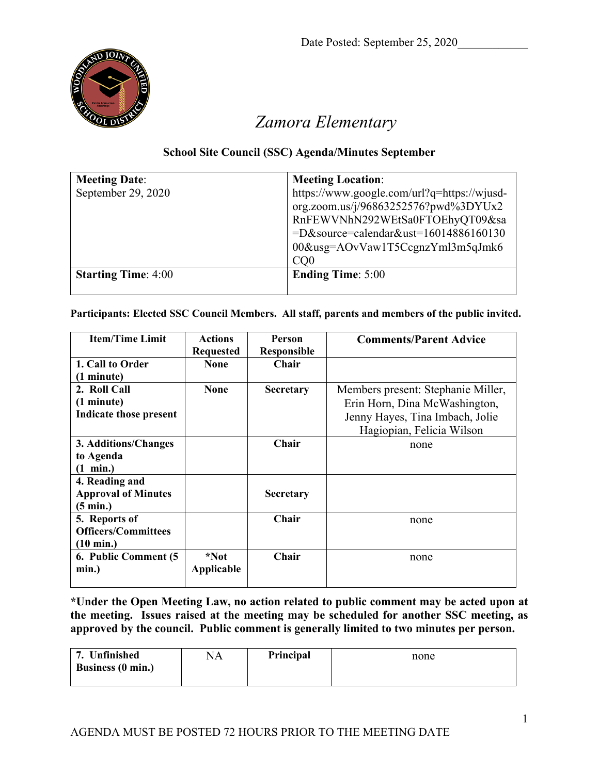

## *Zamora Elementary*

## **School Site Council (SSC) Agenda/Minutes September**

| <b>Meeting Date:</b>       | <b>Meeting Location:</b>                    |
|----------------------------|---------------------------------------------|
| September 29, 2020         | https://www.google.com/url?q=https://wjusd- |
|                            | org.zoom.us/j/96863252576?pwd%3DYUx2        |
|                            | RnFEWVNhN292WEtSa0FTOEhyQT09&sa             |
|                            | =D&source=calendar&ust=16014886160130       |
|                            | 00&usg=AOvVaw1T5CcgnzYml3m5qJmk6            |
|                            | CO <sub>0</sub>                             |
| <b>Starting Time: 4:00</b> | <b>Ending Time: 5:00</b>                    |
|                            |                                             |

## **Participants: Elected SSC Council Members. All staff, parents and members of the public invited.**

| <b>Item/Time Limit</b>     | <b>Actions</b>   | Person             | <b>Comments/Parent Advice</b>      |
|----------------------------|------------------|--------------------|------------------------------------|
|                            | <b>Requested</b> | <b>Responsible</b> |                                    |
| 1. Call to Order           | <b>None</b>      | Chair              |                                    |
| $(1 \text{ minute})$       |                  |                    |                                    |
| 2. Roll Call               | <b>None</b>      | <b>Secretary</b>   | Members present: Stephanie Miller, |
| (1 minute)                 |                  |                    | Erin Horn, Dina McWashington,      |
| Indicate those present     |                  |                    | Jenny Hayes, Tina Imbach, Jolie    |
|                            |                  |                    | Hagiopian, Felicia Wilson          |
| 3. Additions/Changes       |                  | Chair              | none                               |
| to Agenda                  |                  |                    |                                    |
| $(1 \text{ min.})$         |                  |                    |                                    |
| 4. Reading and             |                  |                    |                                    |
| <b>Approval of Minutes</b> |                  | <b>Secretary</b>   |                                    |
| $(5 \text{ min.})$         |                  |                    |                                    |
| 5. Reports of              |                  | Chair              | none                               |
| <b>Officers/Committees</b> |                  |                    |                                    |
| $(10 \text{ min.})$        |                  |                    |                                    |
| 6. Public Comment (5)      | *Not             | Chair              | none                               |
| min.)                      | Applicable       |                    |                                    |
|                            |                  |                    |                                    |

**\*Under the Open Meeting Law, no action related to public comment may be acted upon at the meeting. Issues raised at the meeting may be scheduled for another SSC meeting, as approved by the council. Public comment is generally limited to two minutes per person.**

| 7. Unfinished     | NA | Principal | none |
|-------------------|----|-----------|------|
| Business (0 min.) |    |           |      |